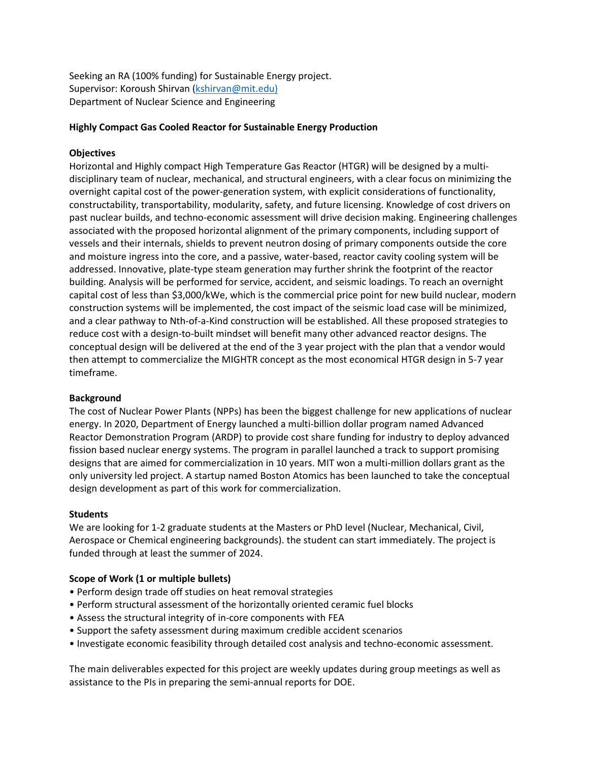Seeking an RA (100% funding) for Sustainable Energy project. Supervisor: Koroush Shirvan [\(kshirvan@mit.edu\)](mailto:kshirvan@mit.edu)) Department of Nuclear Science and Engineering

### **Highly Compact Gas Cooled Reactor for Sustainable Energy Production**

### **Objectives**

Horizontal and Highly compact High Temperature Gas Reactor (HTGR) will be designed by a multidisciplinary team of nuclear, mechanical, and structural engineers, with a clear focus on minimizing the overnight capital cost of the power-generation system, with explicit considerations of functionality, constructability, transportability, modularity, safety, and future licensing. Knowledge of cost drivers on past nuclear builds, and techno-economic assessment will drive decision making. Engineering challenges associated with the proposed horizontal alignment of the primary components, including support of vessels and their internals, shields to prevent neutron dosing of primary components outside the core and moisture ingress into the core, and a passive, water-based, reactor cavity cooling system will be addressed. Innovative, plate-type steam generation may further shrink the footprint of the reactor building. Analysis will be performed for service, accident, and seismic loadings. To reach an overnight capital cost of less than \$3,000/kWe, which is the commercial price point for new build nuclear, modern construction systems will be implemented, the cost impact of the seismic load case will be minimized, and a clear pathway to Nth-of-a-Kind construction will be established. All these proposed strategies to reduce cost with a design-to-built mindset will benefit many other advanced reactor designs. The conceptual design will be delivered at the end of the 3 year project with the plan that a vendor would then attempt to commercialize the MIGHTR concept as the most economical HTGR design in 5-7 year timeframe.

#### **Background**

The cost of Nuclear Power Plants (NPPs) has been the biggest challenge for new applications of nuclear energy. In 2020, Department of Energy launched a multi-billion dollar program named Advanced Reactor Demonstration Program (ARDP) to provide cost share funding for industry to deploy advanced fission based nuclear energy systems. The program in parallel launched a track to support promising designs that are aimed for commercialization in 10 years. MIT won a multi-million dollars grant as the only university led project. A startup named Boston Atomics has been launched to take the conceptual design development as part of this work for commercialization.

#### **Students**

We are looking for 1-2 graduate students at the Masters or PhD level (Nuclear, Mechanical, Civil, Aerospace or Chemical engineering backgrounds). the student can start immediately. The project is funded through at least the summer of 2024.

### **Scope of Work (1 or multiple bullets)**

- Perform design trade off studies on heat removal strategies
- Perform structural assessment of the horizontally oriented ceramic fuel blocks
- Assess the structural integrity of in-core components with FEA
- Support the safety assessment during maximum credible accident scenarios
- Investigate economic feasibility through detailed cost analysis and techno-economic assessment.

The main deliverables expected for this project are weekly updates during group meetings as well as assistance to the PIs in preparing the semi-annual reports for DOE.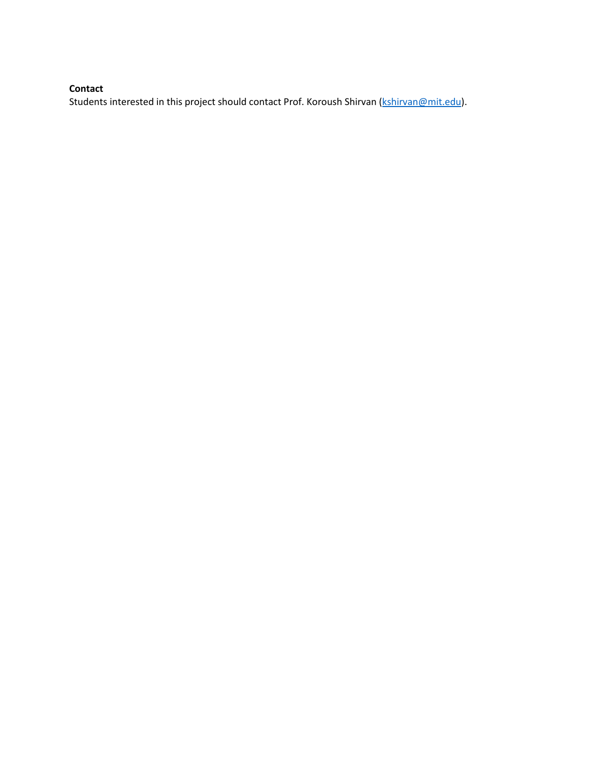# **Contact**

Students interested in this project should contact Prof. Koroush Shirvan [\(kshirvan@mit.edu\)](mailto:kshirvan@mit.edu).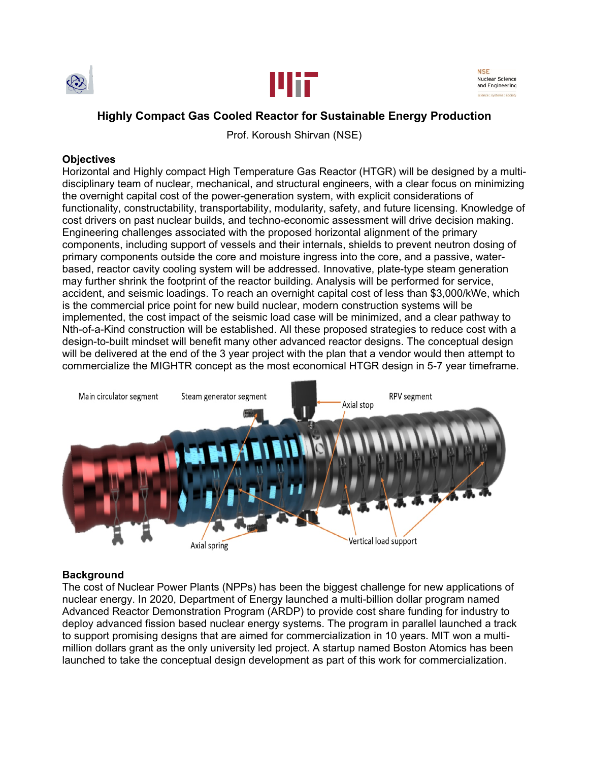



NSE **Nuclear Science** and Engineering

# **Highly Compact Gas Cooled Reactor for Sustainable Energy Production**

Prof. Koroush Shirvan (NSE)

## **Objectives**

Horizontal and Highly compact High Temperature Gas Reactor (HTGR) will be designed by a multidisciplinary team of nuclear, mechanical, and structural engineers, with a clear focus on minimizing the overnight capital cost of the power-generation system, with explicit considerations of functionality, constructability, transportability, modularity, safety, and future licensing. Knowledge of cost drivers on past nuclear builds, and techno-economic assessment will drive decision making. Engineering challenges associated with the proposed horizontal alignment of the primary components, including support of vessels and their internals, shields to prevent neutron dosing of primary components outside the core and moisture ingress into the core, and a passive, waterbased, reactor cavity cooling system will be addressed. Innovative, plate-type steam generation may further shrink the footprint of the reactor building. Analysis will be performed for service, accident, and seismic loadings. To reach an overnight capital cost of less than \$3,000/kWe, which is the commercial price point for new build nuclear, modern construction systems will be implemented, the cost impact of the seismic load case will be minimized, and a clear pathway to Nth-of-a-Kind construction will be established. All these proposed strategies to reduce cost with a design-to-built mindset will benefit many other advanced reactor designs. The conceptual design will be delivered at the end of the 3 year project with the plan that a vendor would then attempt to commercialize the MIGHTR concept as the most economical HTGR design in 5-7 year timeframe.



## **Background**

The cost of Nuclear Power Plants (NPPs) has been the biggest challenge for new applications of nuclear energy. In 2020, Department of Energy launched a multi-billion dollar program named Advanced Reactor Demonstration Program (ARDP) to provide cost share funding for industry to deploy advanced fission based nuclear energy systems. The program in parallel launched a track to support promising designs that are aimed for commercialization in 10 years. MIT won a multimillion dollars grant as the only university led project. A startup named Boston Atomics has been launched to take the conceptual design development as part of this work for commercialization.